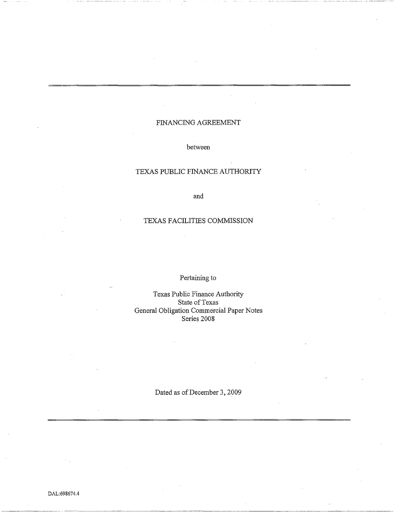# FINANCING AGREEMENT

## between

## TEXAS PUBLIC FINANCE AUTHORITY

and

## TEXAS FACILITIES COMMISSION

# Pertaining to

Texas Public Finance Authority State of Texas General Obligation Commercial Paper Notes Series 2008

Dated as of December 3, 2009

DAL:698674.4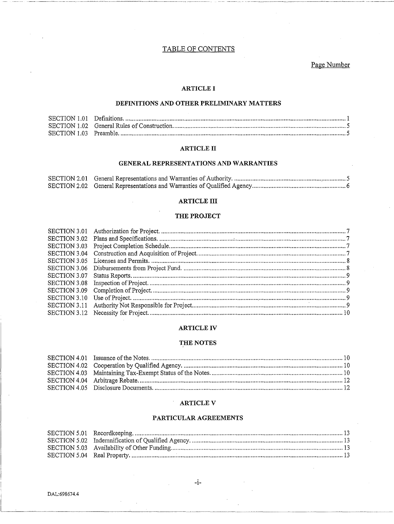## TABLE OF CONTENTS

Page Number

## **ARTICLE I**

## DEFINITIONS AND OTHER PRELIMINARY MATTERS

### **ARTICLE II**

## GENERAL REPRESENTATIONS AND WARRANTIES

## **ARTICLE III**

## THE PROJECT

| SECTION 3.03 |  |
|--------------|--|
|              |  |
|              |  |
|              |  |
| SECTION 3.07 |  |
| SECTION 3.08 |  |
|              |  |
|              |  |
|              |  |
|              |  |

### **ARTICLE IV**

## THE NOTES

## **ARTICLE V**

### PARTICULAR AGREEMENTS

 $-i-$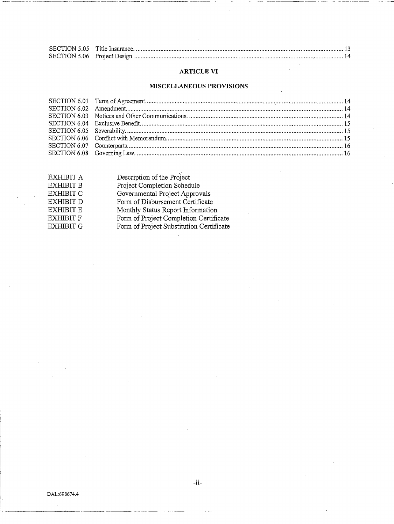## **ARTICLE VI**

## **MISCELLANEOUS PROVISIONS**

| EXHIBIT A        | Description of the Project               |
|------------------|------------------------------------------|
| <b>EXHIBIT B</b> | Project Completion Schedule              |
| <b>EXHIBIT C</b> | Governmental Project Approvals           |
| <b>EXHIBIT D</b> | Form of Disbursement Certificate         |
| <b>EXHIBIT E</b> | Monthly Status Report Information        |
| <b>EXHIBIT F</b> | Form of Project Completion Certificate   |
| <b>EXHIBIT G</b> | Form of Project Substitution Certificate |
|                  |                                          |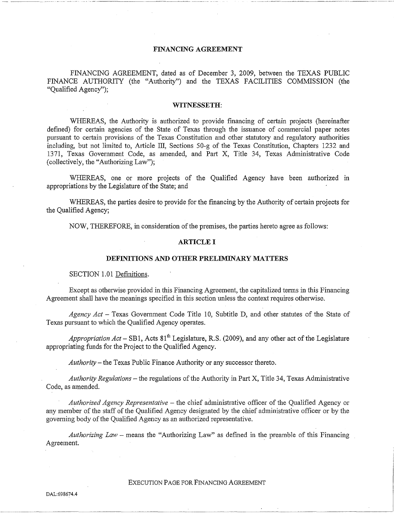## **FINANCING AGREEMENT**

FINANCING AGREEMENT, dated as of December 3, 2009, between the TEXAS PUBLIC FINANCE AUTHORITY (the "Authority") and the TEXAS FACILITIES COMMISSION (the "Qualified Agency");

#### **WITNESSETH:**

WHEREAS, the Authority is authorized to provide financing of certain projects (hereinafter defined) for certain agencies of the State of Texas through the issuance of commercial paper notes pursuant to certain provisions of the Texas Constitution and other statutory and regulatory authorities including, but not limited to, Article III, Sections 50-g of the Texas Constitution, Chapters 1232 and 1371, Texas Govemment Code, as amended, and Part X, Title 34, Texas Administrative Code (collectively, the "Authorizing Law");

WHEREAS, one or more projects of the Qualified Agency have been authorized in appropriations by the Legislature of the State; and

WHEREAS, the parties desire to provide for the financing by the Authority of certain projects for the Qualified Agency;

NOW, THEREFORE, in consideration of the premises, the parties hereto agree as follows:

## **ARTICLE I**

#### **DEFINITIONS AND OTHER PRELIMINARY MATTERS**

#### SECTION 1.01 Definitions.

Except as otherwise provided in this Financing Agreement, the capitalized tenns in this Financing Agreement shall have the meanings specified in this section unless the context requires otherwise.

*Agency Act* - Texas Government Code Title 10, Subtitle D, and other statutes of the State of Texas pursuant to which the Qualified Agency operates.

Appropriation Act – SB1, Acts 81<sup>th</sup> Legislature, R.S. (2009), and any other act of the Legislature appropriating funds for the Project to the Qualified Agency.

*Authority-*the Texas Public Finance Authority or any successor thereto.

*Authority Regulations-* the regulations of the Authority in Pati X, Title 34, Texas Administrative Code, as amended.

*Authorized Agency Representative* - the chief administrative officer of the Qualified Agency or any member of the staff of the Qualified Agency designated by the chief administrative officer or by the goveming body of the Qualified Agency as an authorized representative.

*Authorizing Law* - means the "Authorizing Law" as defined in the preamble of this Financing Agreement.

## EXECUTION PAGE FOR FINANCING AGREEMENT

----·-·-·-------·---·-·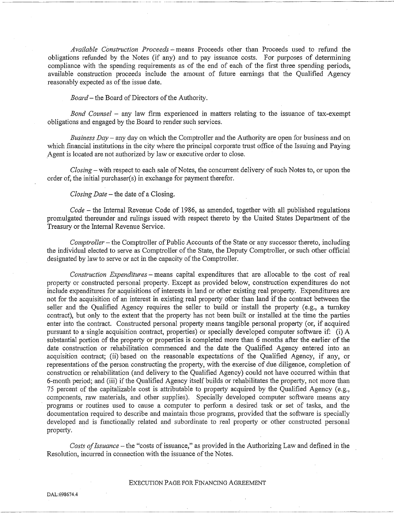Available Construction Proceeds – means Proceeds other than Proceeds used to refund the obligations refunded by the Notes (if any) and to pay issuance costs. For purposes of determining compliance with the spending requirements as of the end of each of the first three spending periods. available construction proceeds include the amount of future earnings that the Qualified Agency reasonably expected as of the issue date.

*Board-* the Board of Directors of the Authority.

*Bond Counsel* - any law firm experienced in matters relating to the issuance of tax-exempt obligations and engaged by the Board to render such services.

*Business Day* - any day on which the Comptroller and the Authority are open for business and on which financial institutions in the city where the principal corporate trust office of the Issuing and Paying Agent is located are not authorized by law or executive order to close.

*Closing-* with respect to each sale of Notes, the concurrent delivery of such Notes to, or upon the order of, the initial purchaser(s) in exchange for payment therefor.

*Closing Date-* the date of a Closing.

*Code* – the Internal Revenue Code of 1986, as amended, together with all published regulations promulgated thereunder and rulings issued with respect thereto by the United States Department of the Treasury or the Intemal Revenue Service.

*Comptroller-* the Comptroller of Public Accounts of the State or any successor thereto, including the individual elected to serve as Comptroller of the State, the Deputy Comptroller, or such other official designated by law to serve or act in the capacity of the Comptroller.

*Construction Expenditures-* means capital expenditures that are allocable to the cost of real property or constructed personal property. Except as provided below, construction expenditures do not include expenditures for acquisitions of interests in land or other existing real property. Expenditures are not for the acquisition of an interest in existing real property other than land if the contract between the seller and the Qualified Agency requires the seller to build or install the property (e.g., a turnkey contract), but only to the extent that the property has not been built or installed at the time the parties enter into the contract. Constructed personal property means tangible personal property (or, if acquired pursuant to a-single acquisition contract, properties) or specially developed computer software if: (i) A substantial portion of the property or properties is completed more than 6 months after the earlier of the date construction or rehabilitation commenced and the date the Qualified Agency entered into an acquisition contract; (ii) based on the reasonable expectations of the Qualified Agency, if any, or representations of the person constructing the property, with the exercise of due diligence, completion of construction or rehabilitation (and delivery to the Qualified Agency) could not have occurred within that 6-month period; and (iii) if the Qualified Agency itself builds or rehabilitates the property, not more than 75 percent of the capitalizable cost is attributable to property acquired by the Qualified Agency (e.g., components, raw materials, and other supplies). Specially developed computer software means any programs or routines used to cause a computer to perform a desired task or set of tasks, and the documentation required to describe and maintain those programs, provided that the software is specially developed and is functionally related and subordinate to real property or other constructed personal propetiy.

*Costs of Issuance* -the "costs of issuance," as provided in the Authorizing Law and defined in the Resolution, incurred in connection with the issuance of the Notes.

## EXECUTION PAGE FOR FINANCING AGREEMENT

DAL:698674.4

---------~---~-----------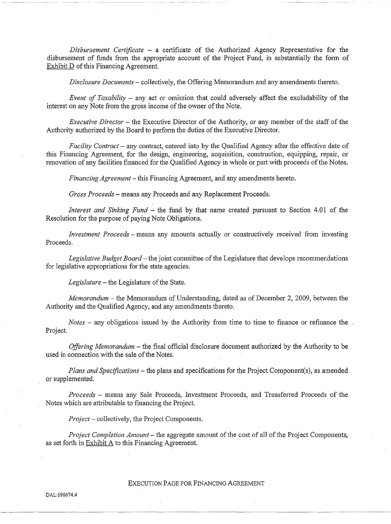*Disbursement Certificate* - a certificate of the Authorized Agency Representative for the disbursement of funds from the appropriate account of the Project Fund, in substantially the form of Exhibit D of this Financing Agreement.

*Disclosure Documents* - collectively, the Offering Memorandum and any amendments thereto.

*Event of Taxability* - any act or omission that could adversely affect the excludability of the interest on any Note from the gross income of the owner of the Note.

*Executive Director* - the Executive Director of the Authority, or any member of the staff of the Authority authorized by the Board to perform the duties of the Executive Director.

*Facility Contract-* any contract, entered into by the Qualified Agency after the effective date of this Financing Agreement, for the design, engineering, acquisition, construction, equipping, repair, or renovation of any facilities financed for the Qualified Agency in whole or part with proceeds of the Notes.

*Financing Agreement-* this Financing Agreement, and any amendments hereto.

*Gross Proceeds-* means any Proceeds and any Replacement Proceeds.

*Interest and Sinking Fund - the fund by that name created pursuant to Section 4.01 of the* Resolution for the purpose of paying Note Obligations.

*Investment Proceeds* - means any amounts actually or constructively received from investing Proceeds.

*Legislative Budget Board-* the joint committee of the Legislature that develops recommendations for legislative appropriations for the state agencies.

*Legislature-* the Legislature of the State.

*Memorandum-* the Memorandum of Understanding, dated as of December 2, 2009, between the Authority and the Qualified Agency, and any amendments thereto.

*Notes* – any obligations issued by the Authority from time to time to finance or refinance the. Project.

*Offering Memorandum* – the final official disclosure document authorized by the Authority to be used in connection with the sale of the Notes.

*Plans and Specifications-* the plans and specifications for the Project Component(s), as amended or supplemented.

*Proceeds* - means any Sale Proceeds, fuvestment Proceeds, and Transferred Proceeds of the Notes which are attributable to financing the Project.

*Project-* collectively, the Project Components.

*Project Completion Amount-* the aggregate amount of the cost of all of the Project Components, as set forth in Exhibit A to this Financing Agreement.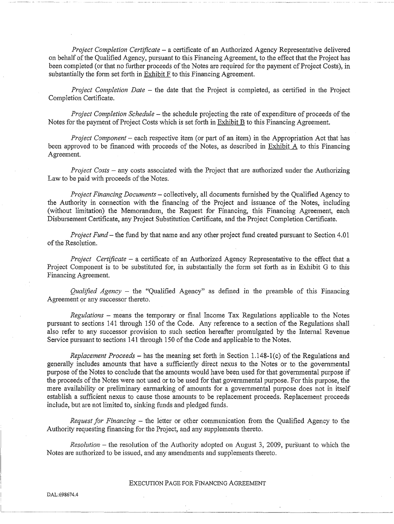*Project Completion Certificate* - a certificate of an Authorized Agency Representative delivered on behalf of the Qualified Agency, pursuant to this Financing Agreement, to the effect that the Project has been completed (or that no further proceeds of the Notes are required for the payment of Project Costs), in substantially the form set forth in  $\overline{\text{Exhibit F}}$  to this Financing Agreement.

---~-~--~ --

*Project Completion Date – the date that the Project is completed, as certified in the Project* Completion Certificate.

*Project Completion Schedule-* the schedule projecting the rate of expenditure of proceeds of the Notes for the payment of Project Costs which is set forth in Exhibit B to this Financing Agreement.

*Project Component* – each respective item (or part of an item) in the Appropriation Act that has been approved to be financed with proceeds of the Notes, as described in Exhibit A to this Financing Agreement.

*Project Costs* - any costs associated with the Project that are authorized under the Authorizing Law to be paid with proceeds of the Notes.

*Project Financing Documents* - collectively, all documents furnished by the Qualified Agency to the Authority in connection with the financing of the Project and issuance of the Notes, including (without limitation) the Memorandum, the Request for Financing, this Financing Agreement, each Disbursement Certificate, any Project Substitution Certificate, and the Project Completion Certificate.

*Project Fund-* the fund by that name and any other project fund created pursuant to Section 4.01 of the Resolution.

*Project Certificate* - a certificate of an Authorized Agency Representative to the effect that a Project Component is to be substituted for, in substantially the form set forth as in Exhibit G to this Financing Agreement.

*Qualified Agency* - the "Qualified Agency" as defined in the preamble of this Financing Agreement or any successor thereto.

*Regulations* - means the temporary or final Income Tax Regulations applicable to the Notes pursuant to sections 141 through 150 of the Code. Any reference to a section of the Regulations shall also refer to any successor provision to such section hereafter promulgated by the Internal Revenue Service pursuant to sections 141 through 150 of the Code and applicable to the Notes.

*Replacement Proceeds* – has the meaning set forth in Section 1.148-1(c) of the Regulations and generally includes amounts that have a sufficiently direct nexus to the Notes or to the govenunental purpose of the Notes to conclude that the amounts would have been used for that govenunental purpose if the proceeds of the Notes were not used or to be used for that governmental purpose. For this purpose, the mere availability or preliminary earmarking of amounts for a governmental purpose does not in itself establish a sufficient nexus to cause those amounts to be replacement proceeds. Replacement proceeds include, but are not limited to, sinking funds and pledged funds.

*Request for Financing* - the letter or other cmmnunication from the Qualified Agency to the Authority requesting financing for the Project, and any supplements thereto.

*Resolution-* the resolution of the Authority adopted on August 3, 2009, pursuant to which the Notes are authorized to be issued, and any amendments and supplements thereto.

## EXECUTION PAGE FOR FINANCING AGREEMENT

·-'---------------------~~·-~~~·-~--·----

DAL:698674.4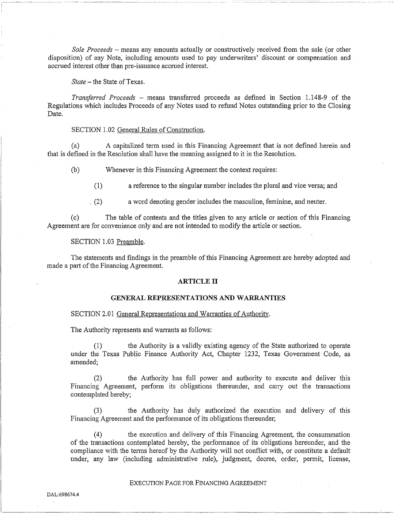*Sale Proceeds* - means any amounts actually or constructively received from the sale (or other disposition) of any Note, including amounts used to pay underwriters' discount or compensation and accrued interest other than pre-issuance accrued interest.

*State-* the State of Texas.

*Transferred Proceeds* - means transferred proceeds as defined in Section 1.148-9 of the Regulations which includes Proceeds of any Notes used to refund Notes outstanding prior to the Closing Date.

#### SECTION 1.02 General Rules of Construction.

(a) A capitalized tenn used in this Financing Agreement that is not defined herein and that is defined in the Resolution shall have the meaning assigned to it in the Resolution.

(b) Whenever in this Financing Agreement the context requires:

(1) a reference to the singular number includes the plural and vice versa; and

. (2) a word denoting gender includes the masculine, feminine, and neuter.

(c) The table of contents and the titles given to any article or section of this Financing Agreement are for convenience only and are not intended to modify the article or section.

SECTION 1.03 Preamble.

The statements and findings in the preamble of this Financing Agreement are hereby adopted and made a part of the Financing Agreement.

#### **ARTICLE IT**

#### **GENERAL REPRESENTATIONS AND WARRANTIES**

### SECTION 2.01 General Representations and Warranties of Authority.

The Authority represents and warrants as follows:

(1) the Authority is a validly existing agency of the State authorized to operate under the Texas Public Finance Authority Act, Chapter 1232, Texas Government Code, as amended;

(2) the Authority has full power and authority to execute and deliver this Financing Agreement, perform its obligations thereunder, and carry out the transactions contemplated hereby;

(3) the Authority has duly authorized the execution and delivery of this Financing Agreement and the performance of its obligations thereunder;

(4) the execution and delivery of this Financing Agreement, the consummation of the transactions contemplated hereby, the perfonnance of its obligations hereunder, and the compliance with the terms hereof by the Authority will not conflict with, or constitute a default under, any law (including administrative rule), judgment, decree, order, permit, license,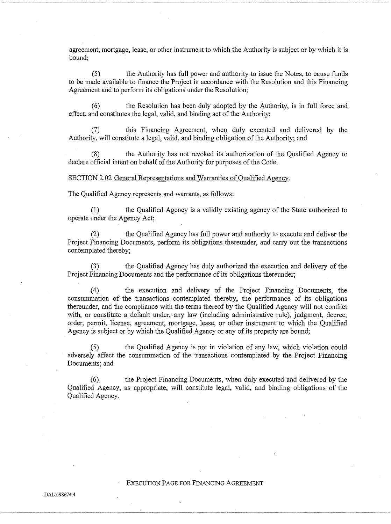agreement, mortgage, lease, or other instrument to which the Authority is subject or by which it is bound;

(5) the Authority has full power and authority to issue the Notes, to cause funds to be made available to finance the Project in accordance with the Resolution and this Financing Agreement and to perform its obligations under the Resolution;

(6) the Resolution has been duly adopted by the Authority, is in full force and effect, and constitutes the legal, valid, and binding act of the Authority;

(7) this Financing Agreement, when duly executed and delivered by the Authority, will constitute a legal, valid, and binding obligation of the Authority; and

(8) the Authority has not revoked its authorization of the Qualified Agency to declare official intent on behalf of the Authority for purposes of the Code.

SECTION 2.02 General Representations and Warranties of Qualified Agency.

The Qualified Agency represents and warrants, as follows:

--- -~-------------~------- ~-~-~~-----

(1) the Qualified Agency is a validly existing agency of the State authorized to operate under the Agency Act;

(2) the Qualified Agency has full power and authority to execute and deliver the Project Financing Documents, perform its obligations thereunder, and carry out the transactions contemplated thereby;

(3) the Qualified Agency has duly authorized the execution and delivery of the Project Financing Documents and the performance of its obligations thereunder;

(4) the execution and delivety of the Project Financing Documents, the consummation of the transactions contemplated thereby, the performance of its obligations thereunder, and the compliance with the terms thereof by the Qualified Agency will not conflict with, or constitute a default under, any law (including administrative rule), judgment, decree, order, pennit, license, agreement, mortgage, lease, or other instrument to which the Qualified Agency is subject or by which the Qualified Agency or any of its property are bound;

the Qualified Agency is not in violation of any law, which violation could adversely affect the consummation of the transactions contemplated by the Project Financing Documents; and

(6). the Project Financing Documents, when duly executed and delivered by the Qualified Agency, as appropriate, will constitute legal, valid, and binding obligations of the Qualified Agency.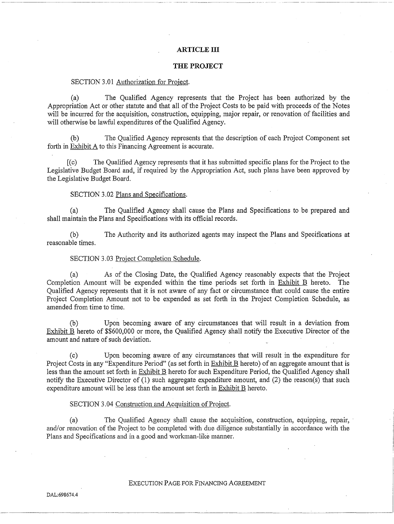## **ARTICLE III**

#### **THE PROJECT**

### SECTION 3.01 Authorization for Project.

(a) The Qualified Agency represents that the Project has been authorized by the Appropriation Act or other statute and that all of the Project Costs to be paid with proceeds of the Notes will be incurred for the acquisition, construction, equipping, major repair, or renovation of facilities and will otherwise be lawful expenditures of the Qualified Agency.

The Qualified Agency represents that the description of each Project Component set forth in Exhibit A to this Financing Agreement is accurate.

[(c) The Qualified Agency represents that it has submitted specific plans for the Project to the Legislative Budget Board and, if required by the Appropriation Act, such plans have been approved by the Legislative Budget Board.

## SECTION 3.02 Plans and Specifications.

(a) The Qualified Agency shall cause the Plans and Specifications to be prepared and shall maintain the Plans and Specifications with its official records.

(b) The Authority and its authorized agents may inspect the Plans and Specifications at reasonable times.

### SECTION 3.03 Project Completion Schedule.

(a) As of the Closing Date, the Qualified Agency reasonably expects that the Project Completion Amount will be expended within the time periods set forth in Exhibit B hereto. The Qualified Agency represents that it is not aware of any fact or circumstance that could cause the entire Project Completion Amount not to be expended as set forth in the Project Completion Schedule, as amended from time to time.

(b) Upon becoming aware of any circumstances that will result in a deviation from Exhibit B hereto of \$\$600,000 or more, the Qualified Agency shall notify the Executive Director of the amount and nature of such deviation.

(c) Upon becoming aware of any circumstances that will result in the expenditure for Project Costs in any "Expenditure Period" (as set forth in Exhibit B hereto) of an aggregate amount that is less than the amount set forth in Exhibit B hereto for such Expenditure Period, the Qualified Agency shall notify the Executive Director of (1) such aggregate expenditure amount, and (2) the reason(s) that such expenditure amount will be less than the amount set forth in Exhibit B hereto.

### SECTION 3.04 Construction and Acquisition of Project.

(a) The Qualified Agency shall cause the acquisition, construction, equipping, repair, · and/or renovation of the Project to be completed with due diligence substantially in accordance with the Plans and Specifications and in a good and workman-like manner.

## EXECUTION PAGE FOR FINANCING AGREEMENT

----·------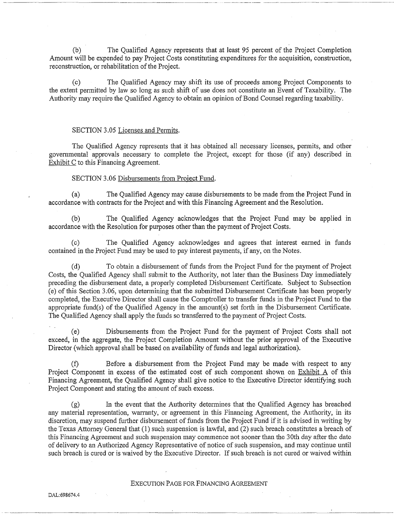(b) The Qualified Agency represents that at least 95 percent of the Project Completion Amount will be expended to pay Project Costs constituting expenditures for the acquisition, construction, reconstruction, or rehabilitation of the Project.

·-···---··- ·-·-----·- ·--~--------------

The Qualified Agency may shift its use of proceeds among Project Components to the extent permitted by law so long as such shift of use does not constitute an Event of Taxability. The Authority may require the Qualified Agency to obtain an opinion of Bond Counsel regarding taxability.

#### SECTION 3.05 Licenses and Permits.

The Qualified Agency represents that it has obtained all necessary licenses, permits, and other governmental approvals necessaty to complete the Project, except for those (if any) described in Exhibit C to this Financing Agreement.

### SECTION 3.06 Disbursements from Project Fund.

(a) The Qualified Agency may cause disbursements to be made from the Project Fund in accordance with contracts for the Project and with this Financing Agreement and the Resolution.

(b) The Qualified Agency acknowledges that the Project Fund may be applied m accordance with the Resolution for purposes other than the payment of Project Costs.

(c) The Qualified Agency acknowledges and agrees that interest earned in funds contained in the Project Fund may be used to pay interest payments, if any, on the Notes.

(d) To obtain a disbursement of funds from the Project Fund for the payment of Project Costs, the Qualified Agency shall submit to the Authority, not later than the Business Day immediately preceding the disbursement date, a properly completed Disbursement Cetiificate. Subject to Subsection (e) of this Section 3 ;06, upon detennining that the submitted Disbursement Certificate has been properly completed, the Executive Director shall cause the Comptroller to transfer funds in the Project Fund to the appropriate fund(s) of the Qualified Agency in the amount(s) set forth in the Disbursement Certificate. The Qualified Agency shall apply the funds so transferred to the payment of Project Costs.

(e) Disbursements from the Project Fund for the payment of Project Costs shall not exceed, in the aggregate, the Project Completion Amount without the prior approval of the Executive Director (which approval shall be based on availability of funds and legal authorization).

(f) Before a disbursement from the Project Fund may be made with respect to any Project Component in excess of the estimated cost of such component shown on Exhibit A of this Financing Agreement, the Qualified Agency shall give notice to the Executive Director identifying such Project Component and stating the amount of such excess.

(g) In the event that the Authority determines that the Qualified Agency has breached any material representation, warranty, or agreement in this Financing Agreement, the Authority, in its discretion, may suspend further disbursement of funds from the Project Fund if it is advised in writing by the Texas Attorney General that (1) such suspension is lawful, and (2) such breach constitutes a breach of this Financing Agreement and such suspension may commence not sooner than the 3Oth day after the date of delivety to an Authorized Agency Representative of notice of such suspension, and may continue until such breach is cured or is waived by the Executive Director. If such breach is not cured or waived within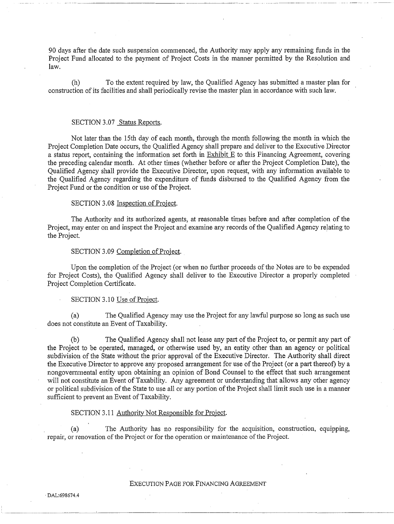90 days after the date such suspension commenced, the Authority may apply any remaining funds in the Project Fund allocated to the payment of Project Costs in the manner permitted by the Resolution and law.

(h) To the extent required by law, the Qualified Agency has submitted a master plan for construction of its facilities and shall periodically revise the master plan in accordance with such law.

## SECTION 3.07 Status Reports.

Not later than the 15th day of each month, through the month following the month in which the Project Completion Date occurs, the Qualified Agency shall prepare and deliver to the Executive Director a status report, containing the information set forth in Exhibit E to this Financing Agreement, covering the preceding calendar month. At other times (whether before or after the Project Completion Date), the Qualified Agency shall provide the Executive Director, upon request, with any information available to the Qualified Agency regarding the expenditure of funds disbursed to the Qualified Agency from the Project Fund or the condition or use of the Project.

#### SECTION 3.08 Inspection of Project.

The Authority and its authorized agents, at reasonable times before and after completion of the Project, may enter on and inspect the Project and examine any records of the Qualified Agency relating to the Project.

## SECTION 3.09 Completion of Project.

Upon the completion of the Project (or when no further proceeds of the Notes are to be expended for Project Costs), the Qualified Agency shall deliver to the Executive Director a properly completed Project Completion Certificate.

### SECTION 3.10 Use of Project.

(a) The Qualified Agency may use the Project for any lawful purpose so long as such use does not constitute an Event of Taxability.

(b) The Qualified Agency shall not lease any part of the Project to, or permit any part of the Project to be operated, managed, or otherwise used by, an entity other than an agency or political subdivision of the State without the prior approval of the Executive Director. The Authority shall direct the Executive Director to approve any proposed arrangement for use of the Project (or a part thereof) by a nongovernmental entity upon obtaining an opinion of Bond Counsel to the effect that such arrangement will not constitute an Event of Taxability. Any agreement or understanding that allows any other agency or political subdivision of the State to use all or any portion of the Project shall limit such use in a manner sufficient to prevent an Event of Taxability.

#### SECTION 3.11 Authority Not Responsible for Project.

(a) The Authority has no responsibility for the acquisition, construction, equipping, repair, or renovation of the Project or for the operation or maintenance of the Project.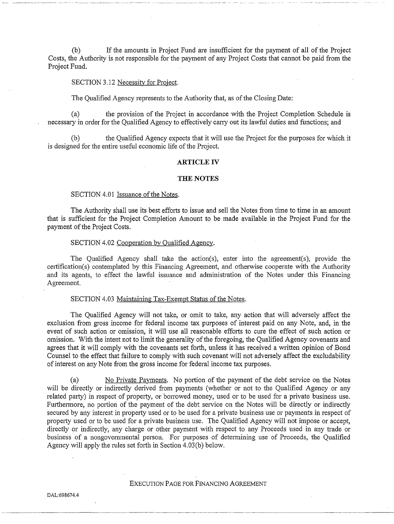(b) If the amounts in Project Fund are insufficient for the payment of all of the Project Costs, the Authority is not responsible for the payment of any Project Costs that cannot be paid from the Project Fund.

### SECTION 3.12 Necessity for Project.

The Qualified Agency represents to the Authority that, as of the Closing Date:

(a) the provision of the Project in accordance with the Project Completion Schedule is necessary in order for the Qualified Agency to effectively carry out its lawful duties and functions; and

(b) the Qualified Agency expects that it will use the Project for the purposes for which it is designed for the entire useful economic life of the Project.

#### **ARTICLE** IV

#### **THE NOTES**

#### SECTION 4.01 Issuance of the Notes.

The Authority shall use its best efforts to issue and sell the Notes from time to time in an amount that is sufficient for the Project Completion Amount to be made available in the Project Fund for the payment of the Project Costs.

#### SECTION 4.02 Cooperation by Qualified Agency.

The Qualified Agency shall take the action(s), enter into the agreement(s), provide the certification(s) contemplated by this Financing Agreement, and otherwise cooperate with the Authority and its agents, to effect the lawful issuance and administration of the Notes under this Financing Agreement.

#### SECTION 4.03 Maintaining Tax-Exempt Status of the Notes.

The Qualified Agency will not take, or omit to take, any action that will adversely affect the exclusion from gross income for federal income tax purposes of interest paid on any Note, and, in the event of such action or omission, it will use all reasonable efforts to cure the effect of such action or omission. With the intent not to limit the generality of the foregoing, the Qualified Agency covenants and agrees that it will comply with the covenants set forth, unless it has received a written opinion of Bond Counsel to the effect that failure to comply with such covenant will not adversely affect the excludability of interest on any Note from the gross income for federal income tax purposes.

(a) No Private Payments. No portion of the payment of the debt service on the Notes will be directly or indirectly derived from payments (whether or not to the Qualified Agency or any related party) in respect of property, or borrowed money, used or to be used for a private business use. Furthermore, no portion of the payment of the debt service on the Notes will be directly or indirectly secured by any interest in property used or to be used for a private business use or payments in respect of propetiy used or to be used for a private business use. The Qualified Agency will not impose or accept, directly or indirectly, any charge or other payment with respect to any Proceeds used in any trade or business of a nongovernmental person. For purposes of determining use of Proceeds, the Qualified Agency will apply the rules set forth in Section 4.03(b) below.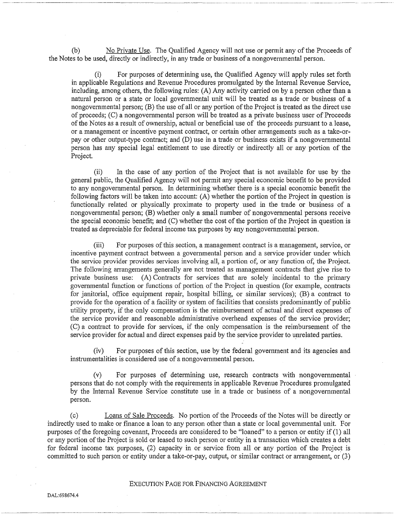(b) No Private Use. The Qualified Agency will not use or permit any of the Proceeds of the Notes to be used, directly or indirectly, in any trade or business of a nongovernmental person.

(i) For purposes of determining use, the Qualified Agency will apply rules set forth in applicable Regulations and Revenue Procedures promulgated by the Internal Revenue Service, including, among others, the following rules: (A) Any activity carried on by a person other than a natural person or a state or local governmental unit will be treated as a trade or business of a nongovernmental person; (B) the use of all or any portion of the Project is treated as the direct use of proceeds; (C) a nongovernmental person will be treated as a private business user of Proceeds of the Notes as a result of ownership, actual or beneficial use of the proceeds pursuant to a lease, or a management or incentive payment contract, or certain other arrangements such as a take-orpay or other output-type contract; and (D) use in a trade or business exists if a nongovernmental person has any special legal entitlement to use directly or indirectly all or any portion of the Project.

(ii) In the case of any portion of the Project that is not available for use by the general public, the Qualified Agency will not pennit any special economic benefit to be provided to any nongovemmental person. In determining whether there is a special economic benefit the following factors will be taken into account: (A) whether the portion of the Project in question is functionally related or physically proximate to property used in the trade or business of a nongovernmental person; (B) whether only a small number of nongovernmental persons receive the special economic benefit; and (C) whether the cost of the portion of the Project in question is treated as depreciable for federal income tax purposes by any nongovernmental person.

(iii) For purposes of this section, a management contract is a management, service, or incentive payment contract between a governmental person and a service provider under which the service provider provides services involving all, a portion of, or any function of, the Project. The following arrangements generally are not treated as management contracts that give rise to private business use: (A) Contracts for services that are solely incidental to the primary governmental function or functions of portion of the Project in question (for example, contracts for janitorial, office equipment repair, hospital billing, or similar services); (B) a contract to provide for the operation of a facility or system of facilities that consists predominantly of public utility property, if the only compensation is the reimbursement of actual and direct expenses of the service provider and reasonable administrative overhead expenses of the service provider; (C) a contract to provide for services, if the only compensation is the reimbursement of the service provider for actual and direct expenses paid by the service provider to umelated parties.

(iv) For purposes of this section, use by the federal government and its agencies and instrumentalities is considered use of a nongovernmental person.

(v) For purposes of determining use, research contracts with nongovernmental persons that do not comply with the requirements in applicable Revenue Procedures promulgated by the Intemal Revenue Service constitute use in a trade or business of a nongovernmental person.

(c) Loans of Sale Proceeds. No potiion of the Proceeds of the Notes will be directly or indirectly used to make or finance a loan to any person other than a state or local governmental unit. For purposes of the foregoing covenant, Proceeds are considered to be "loaned" to a person or entity if (1) all or any portion of the Project is sold or leased to such person or entity in a transaction which creates a debt for federal income tax purposes, (2) capacity in or service from all or any portion of the Project is committed to such person or entity under a take-or-pay, output, or similar contract or arrangement, or (3)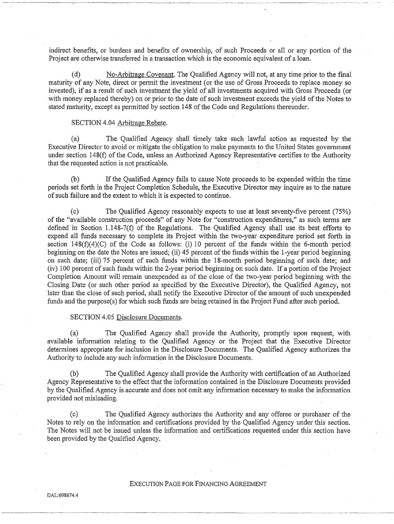indirect benefits, or burdens and benefits of ownership, of such Proceeds or all or any portion of the Project are otherwise transferred in a transaction which is the economic equivalent of a loan.

(d) No-Arbitrage Covenant. The Qualified Agency will not, at any time prior to the final maturity of any Note, direct or permit the investment (or the use of Gross Proceeds to replace money so invested), if as a result of such investment the yield of all investments acquired with Gross Proceeds (or with money replaced thereby) on or prior to the date of such investment exceeds the yield of the Notes to stated maturity, except as pennitted by section 148 of the Code and Regulations thereunder.

## SECTION 4.04 Arbitrage Rebate.

(a) The Qualified Agency shall timely take such lawful action as requested by the Executive Director to avoid or mitigate the obligation to make payments to the United States government under section 148(f) of the Code, unless an Authorized Agency Representative certifies to the Authority that the requested action is not practicable.

(b) If the Qualified Agency fails to cause Note proceeds to be expended within the time periods set forth in the Project Completion Schedule, the Executive Director may inquire as to the nature of such failure and the extent to which it is expected to continue.

(c) The Qualified Agency reasonably expects to use at least seventy-five percent (75%) of the "available construction proceeds" of any Note for "construction expenditures," as such terms are defined in Section 1.148-7(f) of the Regulations. The Qualified Agency shall use its best efforts to expend all funds necessary to complete its Project within the two-year expenditure period set forth in section 148(f)(4)(C) of the Code as follows: (i) 10 percent of the funds within the 6-month period beginning on the date the Notes are issued; (ii) 45 percent of the funds within the 1-year period beginning on such date; (iii) 75 percent of such funds within the 18-month period beginning of such date; and  $(iv)$  100 percent of such funds within the 2-year period beginning on such date. If a portion of the Project Completion Amount will remain unexpended as of the close of the two-year period beginning with the Closing Date (or such other period as specified by the Executive Director), the Qualified Agency, not later than the close of such period, shall notify the Executive Director of the amount of such unexpended funds and the purpose(s) for which such funds are being retained in the Project Fund after such period.

#### SECTION 4.05 Disclosure Documents.

(a) The Qualified Agency shall provide the Authority, promptly upon request, with avaiiable infonnation relating to the Qualified Agency or the Project that the Executive Director determines appropriate for inclusion in the Disclosure Documents. The Qualified Agency authorizes the Authority to include any such information in the Disclosure Documents.

(b) The Qualified Agency shall provide the Authority with cetiification of an Authorized Agency Representative to the effect that the information contained in the Disclosure Documents provided by the Qualified Agency is accurate and does not omit any infonnation necessary to make the information provided not misleading.

(c) The Qualified Agency authorizes the Authority and any offeree or purchaser of the Notes to rely on the information and certifications provided by the Qualified Agency under this section. The Notes will not be issued unless the information and cetiifications requested under this section have been provided by the Qualified Agency.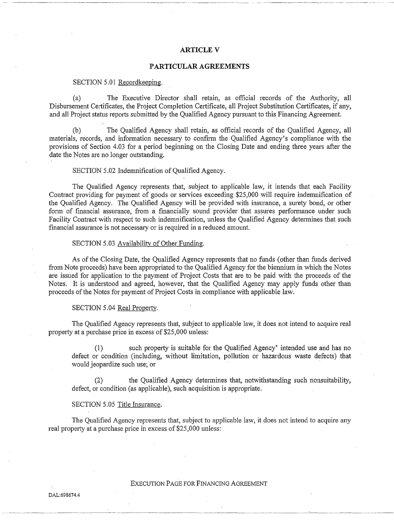## **ARTICLEV**

~~- ---~~~-- -----------~---~- -------~---------------- -~---- ---

#### **PARTICULAR AGREEMENTS**

### SECTION 5.01 Recordkeeping.

(a) The Executive Director shall retain, as official records of the Authority, all Disbursement Certificates, the Project Completion Certificate, all Project Substitution Certificates, if any, and all Project status reports submitted by the Qualified Agency pursuant to this Financing Agreement.

(b) The Qualified Agency shall retain, as official records of the Qualified Agency, all materials, records, and information necessary to confirm the Qualified Agency's compliance with the provisions of Section 4.03 for a period beginning on the Closing Date and ending three years after the date the Notes are no longer outstanding.

#### SECTION 5.02 Indemnification of Qualified Agency.

The Qualified Agency represents that, subject to applicable law, it intends that each Facility Contract providing for payment of goods or services exceeding \$25,000 will require indemnification of the Qualified Agency. The Qualified Agency will be provided with insurance, a surety bond, or other form of financial assurance, from a financially sound provider that assures performance under such Facility Contract with respect to such indemnification, unless the Qualified Agency determines that such financial assurance is not necessary or is required in a reduced amount.

#### SECTION 5.03 Availability of Other Funding.

As of the Closing Date, the Qualified Agency represents that no funds (other than funds derived from Note proceeds) have been appropriated to the Qualified Agency for the biennium in which the Notes are issued for application to the payment of Project Costs that are to be paid with the proceeds of the Notes. It is understood and agreed, however, that the Qualified Agency may apply funds other than proceeds of the Notes for payment of Project Costs in compliance with applicable law.

#### SECTION 5.04 Real Property.

The Qualified Agency represents that, subject to applicable law, it does not intend to acquire real property at a purchase price in excess of \$25,000 unless:

such property is suitable for the Qualified Agency' intended use and has no defect or condition (including, without limitation, pollution or hazardous waste defects) that would jeopardize such use; or

(2) the Qualified Agency determines that, notwithstanding such nonsuitability, defect, or condition (as applicable), such acquisition is appropriate.

## SECTION 5.05 Title Insurance.

The Qualified Agency represents that, subject to applicable law, it does not intend to acquire any real property at a purchase price in excess of \$25,000 unless: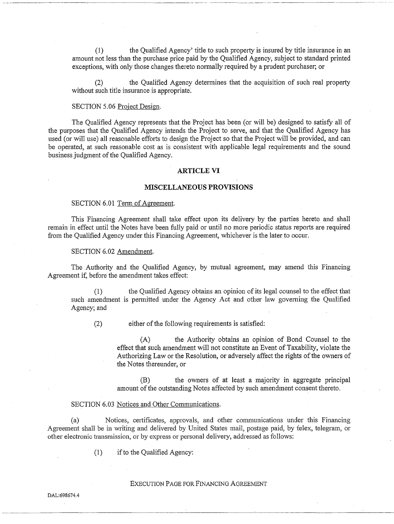( 1) the Qualified Agency' title to such property is insured by title insurance in an amount not less than the purchase price paid by the Qualified Agency, subject to standard printed exceptions, with only those changes thereto normally required by a prudent purchaser; or

(2) the Qualified Agency determines that the acquisition of such real property without such title insurance is appropriate.

### SECTION 5.06 Project Design.

The Qualified Agency represents that the Project has been (or will be) designed to satisfy all of the purposes that the Qualified Agency intends the Project to serve, and that the Qualified Agency has used (or will use) all reasonable efforts to design the Project so that the Project will be provided, and can be operated, at such reasonable cost as is consistent with applicable legal requirements and the sound business judgment of the Qualified Agency.

#### **ARTICLE VI**

#### **MISCELLANEOUS PROVISIONS**

#### SECTION 6.01 Term of Agreement.

This Financing Agreement shall take effect upon its delivery by the parties hereto and shall remain in effect until the Notes have been fully paid or until no more periodic status reports are required from the Qualified Agency under this Financing Agreement, whichever is the later to occur.

#### SECTION 6.02 Amendment.

The Authority and the Qualified Agency, by mutual agreement, may amend this Financing Agreement if, before the amendment takes effect:

the Qualified Agency obtains an opinion of its legal counsel to the effect that such amendment is permitted under the Agency Act and other law goveming the Qualified Agency; and

(2) either of the following requirements is satisfied:

(A) the Authority obtains an opinion of Bond Counsel to the effect that such amendment will not constitute an Event of Taxability, violate the Authorizing Law or the Resolution, or adversely affect the rights of the owners of the Notes thereunder, or

(B) the owners of at least a majority in aggregate principal amount of the outstanding Notes affected by such amendment consent thereto.

#### SECTION 6.03 Notices and Other Communications.

(a) Notices, certificates, approvals, and other communications under this Financing Agreement shall be in writing and delivered by United States mail, postage paid, by telex, telegram, or other electronic transmission, or by express or personal delivery, addressed as follows:

(1) if to the Qualified Agency: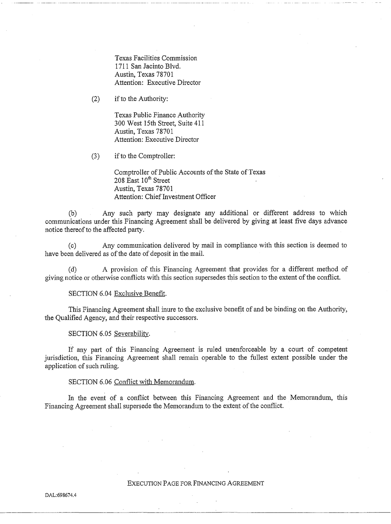Texas Facilities Commission 1711 San Jacinto Blvd. Austin, Texas 78701 Attention: Executive Director

(2) if to the Authority:

Texas Public Finance Authority 300 West 15th Street, Suite 411 Austin, Texas 78701 Attention: Executive Director

(3) if to the Comptroller:

Comptroller of Public Accounts of the State of Texas  $208$  East  $10^{th}$  Street Austin, Texas 78701 Attention: Chief Investment Officer

(b) Any such party may designate any additional or different address to which communications under this Financing Agreement shall be delivered by giving at least five days advance notice thereof to the affected party.

(c) Any communication delivered by mail in compliance with this section is deemed to have been delivered as of the date of deposit in the mail.

(d) A provision of this Financing Agreement that provides for a different method of giving notice or otherwise conflicts with this section supersedes this section to the extent of the conflict.

### SECTION 6.04 Exclusive Benefit.

This Financing Agreement shall inure to the exclusive benefit of and be binding on the Authority, the Qualified Agency, and their respective successors.

## SECTION 6.05 Severability.

If any part of this Financing Agreement is ruled unenforceable by a court of competent jurisdiction, this Financing Agreement shall remain operable to the fullest extent possible under the application of such ruling.

## SECTION 6.06 Conflict with Memorandum.

In the event of a conflict between this Financing Agreement and the Memorandum, this Financing Agreement shall supersede the Memorandum to the extent of the conflict.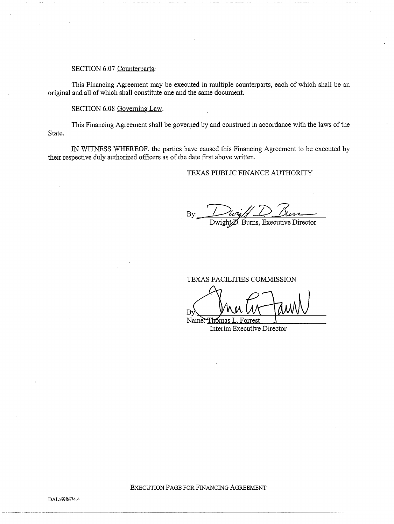## SECTION 6.07 Counterparts.

This Financing Agreement may be executed in multiple counterparts, each of which shall be an original and all of which shall constitute one and the same document.

SECTION 6.08 Governing Law.

This Financing Agreement shall be governed by and construed in accordance with the laws of the State.

IN WITNESS WHEREOF, the parties have caused this Financing Agreement to be executed by their respective duly authorized officers as of the date first above written.

## TEXAS PUBLIC FINANCE AUTHORITY

By

Dwight<sup>*M*</sup>. Burns, Executive Director

TEXAS FACILITIES COMMISSION

By Mu W Jawn

Interim Executive Director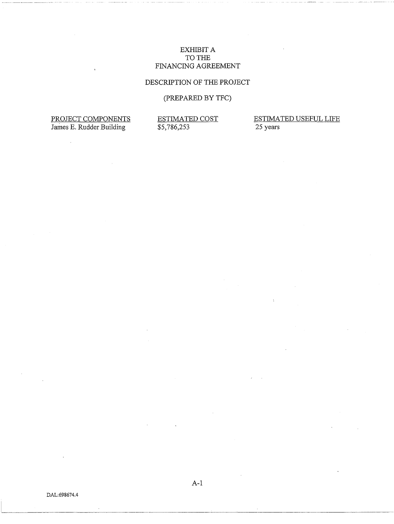## EXHIBIT A TO THE FINANCING AGREEMENT

## DESCRIPTION OF THE PROJECT

# (PREPARED BY TFC)

PROJECT COMPONENTS James E. Rudder Building

l,

ESTIMATED COST \$5,786,253

ESTIMATED USEFUL LIFE 25 years

A-1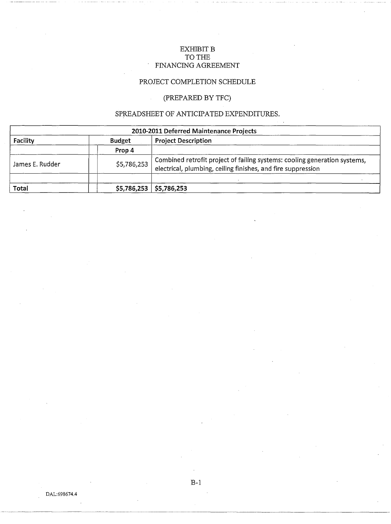## EXHIBIT B TO THE FINANCING AGREEMENT

# PROJECT COMPLETION SCHEDULE

# (PREPARED BY TFC)

# SPREADSHEET OF ANTICIPATED EXPENDITURES.

| 2010-2011 Deferred Maintenance Projects |               |                                                                                                                                        |  |  |  |
|-----------------------------------------|---------------|----------------------------------------------------------------------------------------------------------------------------------------|--|--|--|
| Facility                                | <b>Budget</b> | <b>Project Description</b>                                                                                                             |  |  |  |
|                                         | Prop 4        |                                                                                                                                        |  |  |  |
| James E. Rudder                         | \$5,786,253   | Combined retrofit project of failing systems: cooling generation systems, electrical, plumbing, ceiling finishes, and fire suppression |  |  |  |
| Total                                   | \$5,786,253   | \$5,786,253                                                                                                                            |  |  |  |

B-1

------------------·------------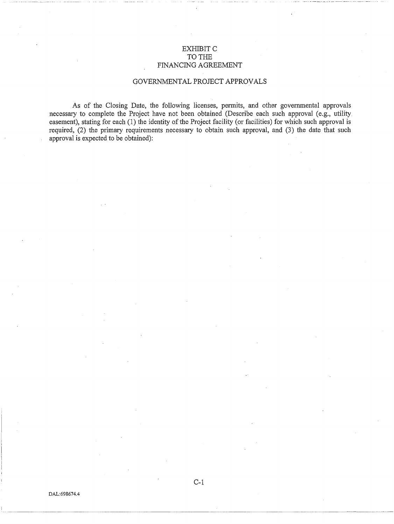## EXHIBIT C TO THE FINANCING AGREEMENT

## GOVERNMENTAL PROJECT APPROVALS

As of the Closing Date, the following licenses, pennits, and other governmental approvals necessary to complete the Project have not been obtained (Describe each such approval (e.g., utility easement), stating for each (1) the identity of the Project facility (or facilities) for which such approval is required, (2) the primary requirements necessary to obtain such approval, and (3) the date that such approval is expected to be obtained):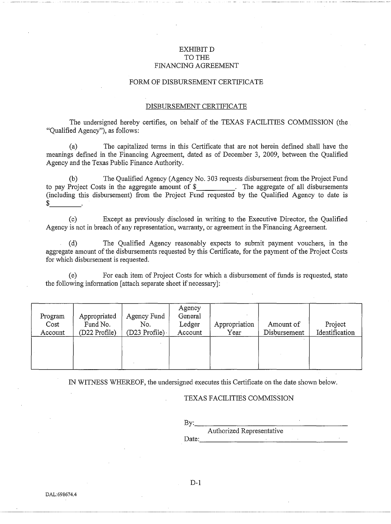## EXHIBIT D TO THE FINANCING AGREEMENT

### FORM OF DISBURSEMENT CERTIFICATE

### DISBURSEMENT CERTIFICATE

The undersigned hereby certifies, on behalf of the TEXAS FACILITIES COMMISSION (the "Qualified Agency"), as follows:

(a) The capitalized terms in this Certificate that are not herein defmed shall have the meanings defined in the Financing Agreement, dated as of December 3, 2009, between the Qualified Agency and the Texas Public Finance Authority.

(b) The Qualified Agency (Agency No. 303 requests disbursement from the Project Fund to pay Project Costs in the aggregate amount of \$ . The aggregate of all disbursements (including this disbursement) from the Project Fund requested by the Qualified Agency to date is  $\frac{1}{2}$ 

(c) Except as previously disclosed in writing to the Executive Director, the Qualified Agency is not in breach of any representation, warranty, or agreement in the Financing Agreement.

(d) The Qualified Agency reasonably expects to submit payment vouchers, in the aggregate amount of the disbursements requested by this Certificate, for the payment of the Project Costs for which disbursement is requested.

(e) For each item of Project Costs for which a disbursement of funds is requested, state the following infonnation [attach separate sheet if necessary]:

| Program<br>Cost<br>Account | Appropriated<br>Fund No.<br>(D22 Profile) | Agency Fund<br>No.<br>(D23 Profile). | Agency<br>General<br>Ledger<br>Account | Appropriation<br>Year | Amount of<br>Disbursement | Project<br>Identification |
|----------------------------|-------------------------------------------|--------------------------------------|----------------------------------------|-----------------------|---------------------------|---------------------------|
|                            |                                           |                                      |                                        |                       |                           |                           |

IN WITNESS WHEREOF, the undersigned executes this Cetiificate on the date shown below.

## TEXAS FACILITIES COMMISSION

By: \_\_\_\_\_\_\_\_\_\_\_\_\_\_\_\_ \_ Authorized Representative Date: \_\_\_\_\_\_\_\_\_\_\_\_\_\_\_\_\_ \_

D-1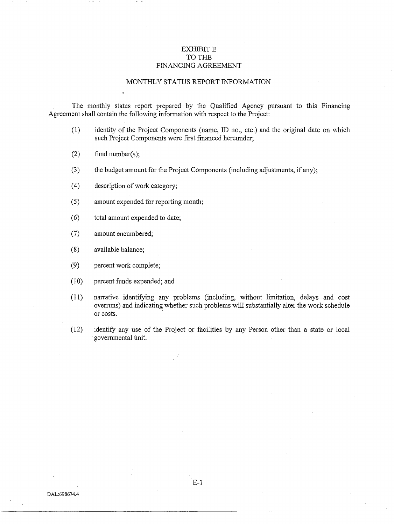## **EXHIBIT E** TO THE FINANCING AGREEMENT

## MONTHLY STATUS REPORT INFORMATION

The monthly status report prepared by the Qualified Agency pursuant to this Financing Agreement shall contain the following information with respect to the Project:

- (1) identity of the Project Components (name, ID no., etc.) and the original date on which such Project Components were first financed hereunder;
- (2) fund number(s);
- (3) the budget amount for the Project Components (including adjustments, if any);
- ( 4) description of work category;
- (5) amount expended for reporting month;
- ( 6) total amount expended to date;
- (7) amount encumbered;
- (8) available balance;
- (9) percent work complete;
- (10) percent funds expended; and
- (11) narrative identifying any problems (including, without limitation, delays and cost ovenuns) and indicating whether such problems will substantially alter the work schedule or costs.
- (12) identify any use of the Project or facilities by any Person other than a state or local govennnental unit.

E-1

DAL:698674.4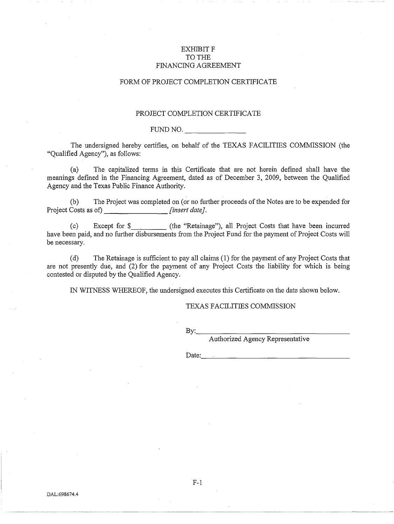## **EXHIBITF** TO THE FINANCING AGREEMENT

## FORM OF PROJECT COMPLETION CERTIFICATE

## PROJECT COMPLETION CERTIFICATE

### FUND NO.

The undersigned hereby certifies, on behalf of the TEXAS FACILITIES COMMISSION (the "Qualified Agency"), as follows:

(a) The capitalized terms in this Certificate that are not herein defined shall have the meanings defined in the Financing Agreement, dated as of December 3, 2009, between the Qualified Agency and the Texas Public Finance Authority.

(b) The Project was completed on (or no further proceeds of the Notes are to be expended for Project Costs as of) *[insert date]*.

(c) Except for \$ (the "Retainage"), all Project Costs that have been incurred have been paid, and no further disbursements from the Project Fund for the payment of Project Costs will be necessary.

(d) The Retainage is sufficient to pay all claims (1) for the payment of any Project Costs that are not presently due, and (2) for the payment of any Project Costs the liability for which is being contested or disputed by the Qualified Agency.

IN WITNESS WHEREOF, the undersigned executes this Certificate on the date shown below.

#### TEXAS FACILITIES COMMISSION

By: \_\_\_\_\_\_\_\_\_\_\_\_\_\_\_ \_

Authorized Agency Representative

 $Date:$ 

F-1